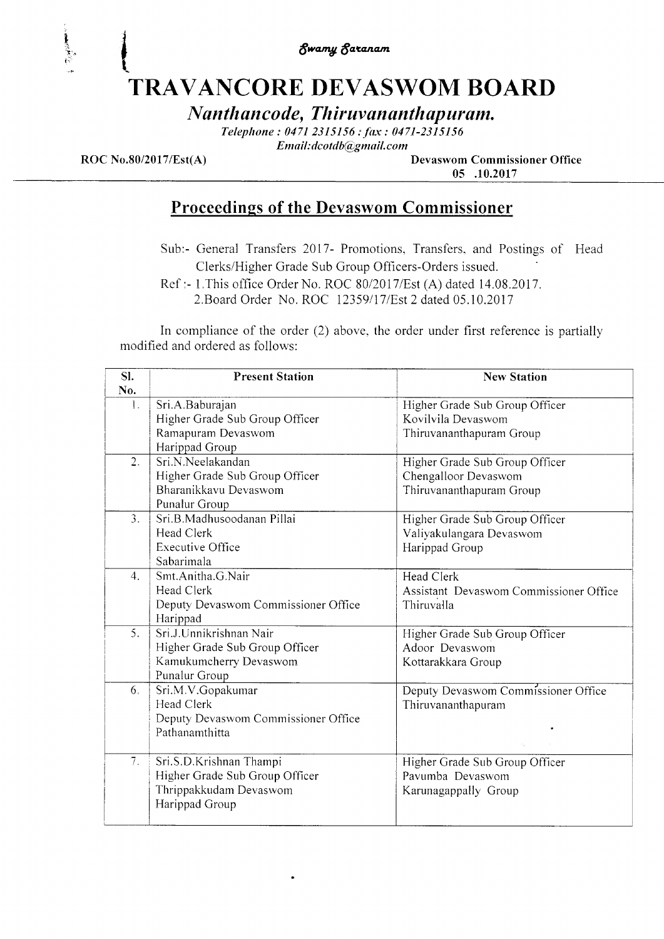\$wang \$azenant

## TRAVANCORE DEVASWOM BOARD t

Nanthancode, Thiruvananthapuram.

Telephone: 0471 2315156 : fax: 0471-2315156 Email: dcotdb@gmail.com

I

I ,.i. i;i

> ROC No.80/2017/Est(A) Devaswom Commissioner Office 05 .10.2017

### Proceedings of the Devaswom Commissioner

Sub:- General Transfers 2017- Promotions, Transfers. and Postings of Head Clerks/Higher Grade Sub Group Officers-Orders issued

Ref :- 1. This office Order No. ROC 80/2017/Est (A) dated 14.08.2017.

2. Board Order No. ROC 12359/17/Est 2 dated 05.10.2017

In compliance of the order (2) above. the order under first reference is partially modified and ordered as follows:

| SI.              | <b>Present Station</b>              | <b>New Station</b>                     |
|------------------|-------------------------------------|----------------------------------------|
| No.              |                                     |                                        |
| 1.               | Sri.A.Baburajan                     | Higher Grade Sub Group Officer         |
|                  | Higher Grade Sub Group Officer      | Kovilvila Devaswom                     |
|                  | Ramapuram Devaswom                  | Thiruvananthapuram Group               |
|                  | Harippad Group                      |                                        |
| 2.               | Sri.N.Neelakandan                   | Higher Grade Sub Group Officer         |
|                  | Higher Grade Sub Group Officer      | Chengalloor Devaswom                   |
|                  | Bharanikkavu Devaswom               | Thiruvananthapuram Group               |
|                  | Punalur Group                       |                                        |
| $\overline{3}$ . | Sri.B.Madhusoodanan Pillai          | Higher Grade Sub Group Officer         |
|                  | Head Clerk                          | Valiyakulangara Devaswom               |
|                  | <b>Executive Office</b>             | Harippad Group                         |
|                  | Sabarimala                          |                                        |
| 4.               | Smt.Anitha.G.Nair                   | Head Clerk                             |
|                  | <b>Head Clerk</b>                   | Assistant Devaswom Commissioner Office |
|                  | Deputy Devaswom Commissioner Office | Thiruvalla                             |
|                  | Harippad                            |                                        |
| 5.               | Sri.J.Unnikrishnan Nair             | Higher Grade Sub Group Officer         |
|                  | Higher Grade Sub Group Officer      | Adoor Devaswom                         |
|                  | Kamukumcherry Devaswom              | Kottarakkara Group                     |
|                  | Punalur Group                       |                                        |
| 6.               | Sri.M.V.Gopakumar                   | Deputy Devaswom Commissioner Office    |
|                  | Head Clerk                          | Thiruvananthapuram                     |
|                  | Deputy Devaswom Commissioner Office |                                        |
|                  | Pathanamthitta                      |                                        |
|                  |                                     |                                        |
| 7.               | Sri.S.D.Krishnan Thampi             | Higher Grade Sub Group Officer         |
|                  | Higher Grade Sub Group Officer      | Pavumba Devaswom                       |
|                  | Thrippakkudam Devaswom              | Karunagappally Group                   |
|                  | Harippad Group                      |                                        |
|                  |                                     |                                        |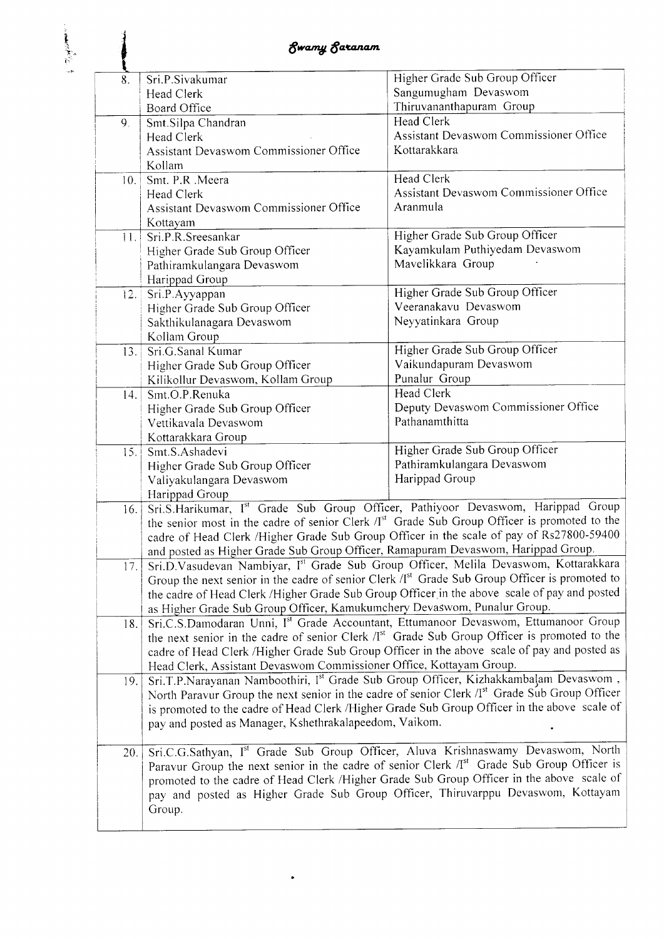| ų   |                                                                                   |                                                                                                            |
|-----|-----------------------------------------------------------------------------------|------------------------------------------------------------------------------------------------------------|
| 8.  | Sri.P.Sivakumar                                                                   | Higher Grade Sub Group Officer                                                                             |
|     | Head Clerk                                                                        | Sangumugham Devaswom                                                                                       |
|     | Board Office                                                                      | Thiruvananthapuram Group                                                                                   |
| 9.  | Smt.Silpa Chandran                                                                | <b>Head Clerk</b>                                                                                          |
|     | Head Clerk                                                                        | Assistant Devaswom Commissioner Office                                                                     |
|     | Assistant Devaswom Commissioner Office                                            | Kottarakkara                                                                                               |
|     | Kollam                                                                            |                                                                                                            |
| 10. | Smt. P.R .Meera                                                                   | Head Clerk                                                                                                 |
|     | Head Clerk                                                                        | Assistant Devaswom Commissioner Office                                                                     |
|     | Assistant Devaswom Commissioner Office                                            | Aranmula                                                                                                   |
|     | Kottayam                                                                          |                                                                                                            |
|     | 11. Sri.P.R.Sreesankar                                                            | Higher Grade Sub Group Officer                                                                             |
|     | Higher Grade Sub Group Officer                                                    | Kayamkulam Puthiyedam Devaswom                                                                             |
|     | Pathiramkulangara Devaswom                                                        | Mavelikkara Group                                                                                          |
|     | Harippad Group                                                                    |                                                                                                            |
|     | Sri.P.Ayyappan<br>12.                                                             | Higher Grade Sub Group Officer<br>Veeranakavu Devaswom                                                     |
|     | Higher Grade Sub Group Officer                                                    |                                                                                                            |
|     | Sakthikulanagara Devaswom                                                         | Neyyatinkara Group                                                                                         |
|     | Kollam Group<br>Sri.G.Sanal Kumar                                                 | Higher Grade Sub Group Officer                                                                             |
|     | 13.<br>Higher Grade Sub Group Officer                                             | Vaikundapuram Devaswom                                                                                     |
|     | Kilikollur Devaswom, Kollam Group                                                 | Punalur Group                                                                                              |
|     | Smt.O.P.Renuka<br>14.                                                             | <b>Head Clerk</b>                                                                                          |
|     | Higher Grade Sub Group Officer                                                    | Deputy Devaswom Commissioner Office                                                                        |
|     | Vettikavala Devaswom                                                              | Pathanamthitta                                                                                             |
|     | Kottarakkara Group                                                                |                                                                                                            |
|     | Smt.S.Ashadevi<br>15.                                                             | Higher Grade Sub Group Officer                                                                             |
|     | Higher Grade Sub Group Officer                                                    | Pathiramkulangara Devaswom                                                                                 |
|     | Valiyakulangara Devaswom                                                          | Harippad Group                                                                                             |
|     | Harippad Group                                                                    |                                                                                                            |
|     | 16.                                                                               | Sri.S.Harikumar, Ist Grade Sub Group Officer, Pathiyoor Devaswom, Harippad Group                           |
|     |                                                                                   | the senior most in the cadre of senior Clerk /I <sup>st</sup> Grade Sub Group Officer is promoted to the   |
|     |                                                                                   | cadre of Head Clerk /Higher Grade Sub Group Officer in the scale of pay of Rs27800-59400                   |
|     | and posted as Higher Grade Sub Group Officer, Ramapuram Devaswom, Harippad Group. |                                                                                                            |
|     | 17.                                                                               | Sri.D.Vasudevan Nambiyar, Ist Grade Sub Group Officer, Melila Devaswom, Kottarakkara                       |
|     |                                                                                   | Group the next senior in the cadre of senior Clerk /I <sup>st</sup> Grade Sub Group Officer is promoted to |
|     |                                                                                   | the cadre of Head Clerk /Higher Grade Sub Group Officer in the above scale of pay and posted               |
|     | as Higher Grade Sub Group Officer, Kamukumchery Devaswom, Punalur Group.          |                                                                                                            |
|     | 18.                                                                               | Sri.C.S.Damodaran Unni, Ist Grade Accountant, Ettumanoor Devaswom, Ettumanoor Group                        |
|     |                                                                                   | the next senior in the cadre of senior Clerk /I <sup>st</sup> Grade Sub Group Officer is promoted to the   |
|     |                                                                                   | cadre of Head Clerk /Higher Grade Sub Group Officer in the above scale of pay and posted as                |
|     | Head Clerk, Assistant Devaswom Commissioner Office, Kottayam Group.               |                                                                                                            |
|     | 19.                                                                               | Sri.T.P.Narayanan Namboothiri, Ist Grade Sub Group Officer, Kizhakkambalam Devaswom,                       |
|     |                                                                                   | North Paravur Group the next senior in the cadre of senior Clerk /I <sup>st</sup> Grade Sub Group Officer  |
|     |                                                                                   | is promoted to the cadre of Head Clerk /Higher Grade Sub Group Officer in the above scale of               |
|     | pay and posted as Manager, Kshethrakalapeedom, Vaikom.                            |                                                                                                            |
|     | 20.                                                                               | Sri.C.G.Sathyan, Ist Grade Sub Group Officer, Aluva Krishnaswamy Devaswom, North                           |
|     |                                                                                   | Paravur Group the next senior in the cadre of senior Clerk /I <sup>st</sup> Grade Sub Group Officer is     |
|     |                                                                                   | promoted to the cadre of Head Clerk /Higher Grade Sub Group Officer in the above scale of                  |
|     |                                                                                   | pay and posted as Higher Grade Sub Group Officer, Thiruvarppu Devaswom, Kottayam                           |
|     | Group.                                                                            |                                                                                                            |
|     |                                                                                   |                                                                                                            |

 $\ddot{\phantom{1}}$ 

t ,r. aa'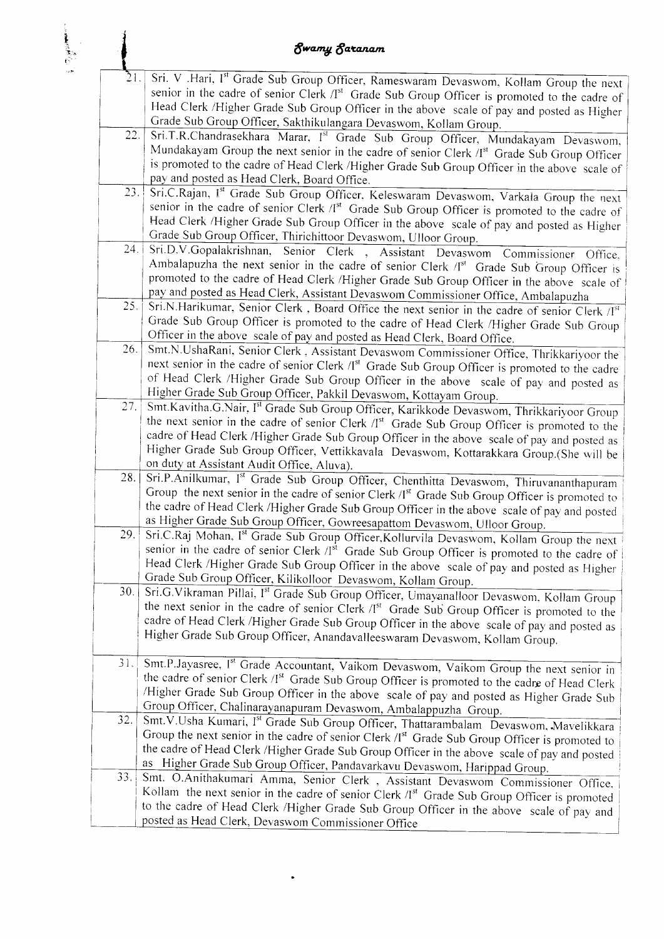| <b>Swamy Saranam</b> |                                                                                                                                                                                                                                                                                                                                                                                                                                 |  |
|----------------------|---------------------------------------------------------------------------------------------------------------------------------------------------------------------------------------------------------------------------------------------------------------------------------------------------------------------------------------------------------------------------------------------------------------------------------|--|
| 21.                  | Sri. V .Hari, Ist Grade Sub Group Officer, Rameswaram Devaswom, Kollam Group the next<br>senior in the cadre of senior Clerk /Ist Grade Sub Group Officer is promoted to the cadre of<br>Head Clerk /Higher Grade Sub Group Officer in the above scale of pay and posted as Higher<br>Grade Sub Group Officer, Sakthikulangara Devaswom, Kollam Group.                                                                          |  |
| 22.                  | Sri.T.R.Chandrasekhara Marar, Ist Grade Sub Group Officer, Mundakayam Devaswom,<br>Mundakayam Group the next senior in the cadre of senior Clerk /I <sup>st</sup> Grade Sub Group Officer<br>is promoted to the cadre of Head Clerk /Higher Grade Sub Group Officer in the above scale of<br>pay and posted as Head Clerk, Board Office.                                                                                        |  |
| 23.                  | Sri.C.Rajan, Ist Grade Sub Group Officer, Keleswaram Devaswom, Varkala Group the next<br>senior in the cadre of senior Clerk /Ist Grade Sub Group Officer is promoted to the cadre of<br>Head Clerk /Higher Grade Sub Group Officer in the above scale of pay and posted as Higher<br>Grade Sub Group Officer, Thirichittoor Devaswom, Ulloor Group.                                                                            |  |
| 24.                  | Sri.D.V.Gopalakrishnan, Senior Clerk , Assistant Devaswom Commissioner Office,<br>Ambalapuzha the next senior in the cadre of senior Clerk /I <sup>st</sup> Grade Sub Group Officer is<br>promoted to the cadre of Head Clerk /Higher Grade Sub Group Officer in the above scale of<br>pay and posted as Head Clerk, Assistant Devaswom Commissioner Office, Ambalapuzha                                                        |  |
| 25.                  | Sri.N.Harikumar, Senior Clerk, Board Office the next senior in the cadre of senior Clerk /[st]<br>Grade Sub Group Officer is promoted to the cadre of Head Clerk /Higher Grade Sub Group<br>Officer in the above scale of pay and posted as Head Clerk, Board Office.                                                                                                                                                           |  |
| 26.                  | Smt.N.UshaRani, Senior Clerk, Assistant Devaswom Commissioner Office, Thrikkariyoor the<br>next senior in the cadre of senior Clerk /I <sup>st</sup> Grade Sub Group Officer is promoted to the cadre<br>of Head Clerk /Higher Grade Sub Group Officer in the above scale of pay and posted as<br>Higher Grade Sub Group Officer, Pakkil Devaswom, Kottayam Group.                                                              |  |
| 27.                  | Smt.Kavitha.G.Nair, Ist Grade Sub Group Officer, Karikkode Devaswom, Thrikkariyoor Group<br>the next senior in the cadre of senior Clerk /Ist Grade Sub Group Officer is promoted to the<br>cadre of Head Clerk /Higher Grade Sub Group Officer in the above scale of pay and posted as<br>Higher Grade Sub Group Officer, Vettikkavala Devaswom, Kottarakkara Group.(She will be<br>on duty at Assistant Audit Office, Aluva). |  |
| 28.                  | Sri.P.Anilkumar, Ist Grade Sub Group Officer, Chenthitta Devaswom, Thiruvananthapuram<br>Group the next senior in the cadre of senior Clerk /I <sup>st</sup> Grade Sub Group Officer is promoted to<br>the cadre of Head Clerk /Higher Grade Sub Group Officer in the above scale of pay and posted<br>as Higher Grade Sub Group Officer, Gowreesapattom Devaswom, Ulloor Group.                                                |  |
| 29.                  | Sri.C.Raj Mohan, I <sup>st</sup> Grade Sub Group Officer, Kollurvila Devaswom, Kollam Group the next<br>senior in the cadre of senior Clerk /Ist Grade Sub Group Officer is promoted to the cadre of<br>Head Clerk /Higher Grade Sub Group Officer in the above scale of pay and posted as Higher<br>Grade Sub Group Officer, Kilikolloor Devaswom, Kollam Group.                                                               |  |
| 30.                  | Sri.G.Vikraman Pillai, Ist Grade Sub Group Officer, Umayanalloor Devaswom, Kollam Group<br>the next senior in the cadre of senior Clerk /Ist Grade Sub Group Officer is promoted to the<br>cadre of Head Clerk /Higher Grade Sub Group Officer in the above scale of pay and posted as<br>Higher Grade Sub Group Officer, Anandavalleeswaram Devaswom, Kollam Group.                                                            |  |
| 31.                  | Smt.P.Jayasree, Ist Grade Accountant, Vaikom Devaswom, Vaikom Group the next senior in<br>the cadre of senior Clerk /I <sup>st</sup> Grade Sub Group Officer is promoted to the cadre of Head Clerk<br>/Higher Grade Sub Group Officer in the above scale of pay and posted as Higher Grade Sub<br>Group Officer, Chalinarayanapuram Devaswom, Ambalappuzha Group.                                                              |  |
| 32.                  | Smt.V.Usha Kumari, Ist Grade Sub Group Officer, Thattarambalam Devaswom, Mavelikkara<br>Group the next senior in the cadre of senior Clerk /I <sup>st</sup> Grade Sub Group Officer is promoted to<br>the cadre of Head Clerk /Higher Grade Sub Group Officer in the above scale of pay and posted<br>as Higher Grade Sub Group Officer, Pandavarkavu Devaswom, Harippad Group.                                                 |  |
| 33.                  | Smt. O.Anithakumari Amma, Senior Clerk, Assistant Devaswom Commissioner Office,<br>Kollam the next senior in the cadre of senior Clerk /I <sup>st</sup> Grade Sub Group Officer is promoted<br>to the cadre of Head Clerk /Higher Grade Sub Group Officer in the above scale of pay and<br>posted as Head Clerk, Devaswom Commissioner Office                                                                                   |  |

l | '--'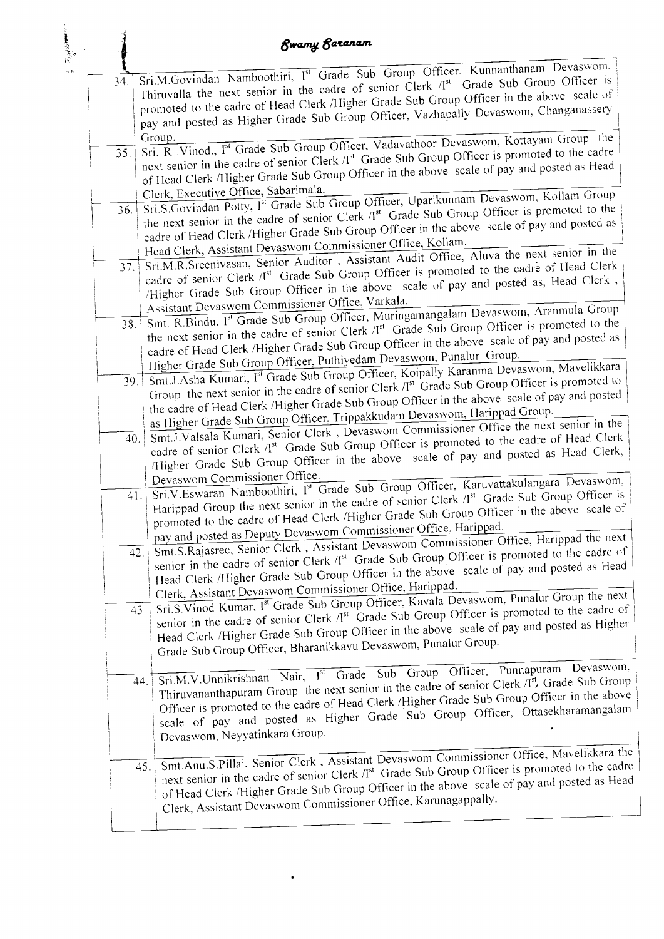# **Swamy Saranam**

| 34. |     | Sri.M.Govindan Namboothiri, Ist Grade Sub Group Officer, Kunnanthanam Devaswom,                                                                                                                  |
|-----|-----|--------------------------------------------------------------------------------------------------------------------------------------------------------------------------------------------------|
|     |     | Thiruvalla the next senior in the cadre of senior Clerk /I <sup>st</sup> Grade Sub Group Officer is<br>promoted to the cadre of Head Clerk /Higher Grade Sub Group Officer in the above scale of |
|     |     | pay and posted as Higher Grade Sub Group Officer, Vazhapally Devaswom, Changanassery                                                                                                             |
|     |     |                                                                                                                                                                                                  |
|     |     |                                                                                                                                                                                                  |
|     |     | Sri. R. Vinod., Ist Grade Sub Group Officer, Vadavathoor Devaswom, Kottayam Group the                                                                                                            |
| 35. |     | next senior in the cadre of senior Clerk /I <sup>st</sup> Grade Sub Group Officer is promoted to the cadre                                                                                       |
|     |     | of Head Clerk /Higher Grade Sub Group Officer in the above scale of pay and posted as Head                                                                                                       |
|     |     |                                                                                                                                                                                                  |
|     |     | Clerk, Executive Office, Sabarimala.<br>Sri.S.Govindan Potty, I <sup>st</sup> Grade Sub Group Officer, Uparikunnam Devaswom, Kollam Group                                                        |
| 36. |     | the next senior in the cadre of senior Clerk /I <sup>st</sup> Grade Sub Group Officer is promoted to the                                                                                         |
|     |     |                                                                                                                                                                                                  |
|     |     | cadre of Head Clerk /Higher Grade Sub Group Officer in the above scale of pay and posted as                                                                                                      |
|     |     | Head Clerk, Assistant Devaswom Commissioner Office, Kollam.                                                                                                                                      |
| 37. |     | Sri.M.R.Sreenivasan, Senior Auditor, Assistant Audit Office, Aluva the next senior in the                                                                                                        |
|     |     | cadre of senior Clerk /I <sup>st</sup> Grade Sub Group Officer is promoted to the cadre of Head Clerk                                                                                            |
|     |     | /Higher Grade Sub Group Officer in the above scale of pay and posted as, Head Clerk,                                                                                                             |
|     |     | Assistant Devaswom Commissioner Office, Varkala.                                                                                                                                                 |
|     |     | Smt. R.Bindu, Ist Grade Sub Group Officer, Muringamangalam Devaswom, Aranmula Group                                                                                                              |
|     | 38. |                                                                                                                                                                                                  |
|     |     | the next senior in the cadre of senior Clerk /I <sup>st</sup> Grade Sub Group Officer is promoted to the                                                                                         |
|     |     | cadre of Head Clerk /Higher Grade Sub Group Officer in the above scale of pay and posted as                                                                                                      |
|     |     | Higher Grade Sub Group Officer, Puthiyedam Devaswom, Punalur Group.                                                                                                                              |
|     | 39. | Smt.J.Asha Kumari, Ist Grade Sub Group Officer, Koipally Karanma Devaswom, Mavelikkara                                                                                                           |
|     |     | Group the next senior in the cadre of senior Clerk /I <sup>st</sup> Grade Sub Group Officer is promoted to                                                                                       |
|     |     | the cadre of Head Clerk /Higher Grade Sub Group Officer in the above scale of pay and posted                                                                                                     |
|     |     | as Higher Grade Sub Group Officer, Trippakkudam Devaswom, Harippad Group.                                                                                                                        |
|     |     | Smt.J.Valsala Kumari, Senior Clerk, Devaswom Commissioner Office the next senior in the                                                                                                          |
|     | 40. | cadre of senior Clerk /I <sup>st</sup> Grade Sub Group Officer is promoted to the cadre of Head Clerk                                                                                            |
|     |     | /Higher Grade Sub Group Officer in the above scale of pay and posted as Head Clerk,                                                                                                              |
|     |     |                                                                                                                                                                                                  |
|     |     | Devaswom Commissioner Office.<br>Sri.V.Eswaran Namboothiri, Ist Grade Sub Group Officer, Karuvattakulangara Devaswom,                                                                            |
|     | 41. | Harippad Group the next senior in the cadre of senior Clerk /I <sup>st</sup> Grade Sub Group Officer is                                                                                          |
|     |     |                                                                                                                                                                                                  |
|     |     | promoted to the cadre of Head Clerk /Higher Grade Sub Group Officer in the above scale of                                                                                                        |
|     |     | pay and posted as Deputy Devaswom Commissioner Office, Harippad.<br>Smt.S.Rajasree, Senior Clerk, Assistant Devaswom Commissioner Office, Harippad the next                                      |
|     | 42. |                                                                                                                                                                                                  |
|     |     | senior in the cadre of senior Clerk /I <sup>st</sup> Grade Sub Group Officer is promoted to the cadre of                                                                                         |
|     |     | Head Clerk /Higher Grade Sub Group Officer in the above scale of pay and posted as Head                                                                                                          |
|     |     | Clerk, Assistant Devaswom Commissioner Office, Harippad.                                                                                                                                         |
|     |     | Sri.S.Vinod Kumar, I <sup>st</sup> Grade Sub Group Officer, Kavala Devaswom, Punalur Group the next                                                                                              |
|     | 43. | senior in the cadre of senior Clerk /I <sup>st</sup> Grade Sub Group Officer is promoted to the cadre of                                                                                         |
|     |     | Head Clerk /Higher Grade Sub Group Officer in the above scale of pay and posted as Higher                                                                                                        |
|     |     |                                                                                                                                                                                                  |
|     |     | Grade Sub Group Officer, Bharanikkavu Devaswom, Punalur Group.                                                                                                                                   |
|     |     |                                                                                                                                                                                                  |
|     | 44. | Sri.M.V.Unnikrishnan Nair, Ist Grade Sub Group Officer, Punnapuram Devaswom,<br>Thiruvananthapuram Group the next senior in the cadre of senior Clerk /I <sup>st</sup> , Grade Sub Group         |
|     |     |                                                                                                                                                                                                  |
|     |     | Officer is promoted to the cadre of Head Clerk /Higher Grade Sub Group Officer in the above                                                                                                      |
|     |     | scale of pay and posted as Higher Grade Sub Group Officer, Ottasekharamangalam                                                                                                                   |
|     |     | Devaswom, Neyyatinkara Group.                                                                                                                                                                    |
|     |     |                                                                                                                                                                                                  |
|     |     | Smt.Anu.S.Pillai, Senior Clerk, Assistant Devaswom Commissioner Office, Mavelikkara the                                                                                                          |
|     | 45. | next senior in the cadre of senior Clerk /I <sup>st</sup> Grade Sub Group Officer is promoted to the cadre                                                                                       |
|     |     | of Head Clerk /Higher Grade Sub Group Officer in the above scale of pay and posted as Head                                                                                                       |
|     |     | Clerk, Assistant Devaswom Commissioner Office, Karunagappally.                                                                                                                                   |
|     |     |                                                                                                                                                                                                  |
|     |     |                                                                                                                                                                                                  |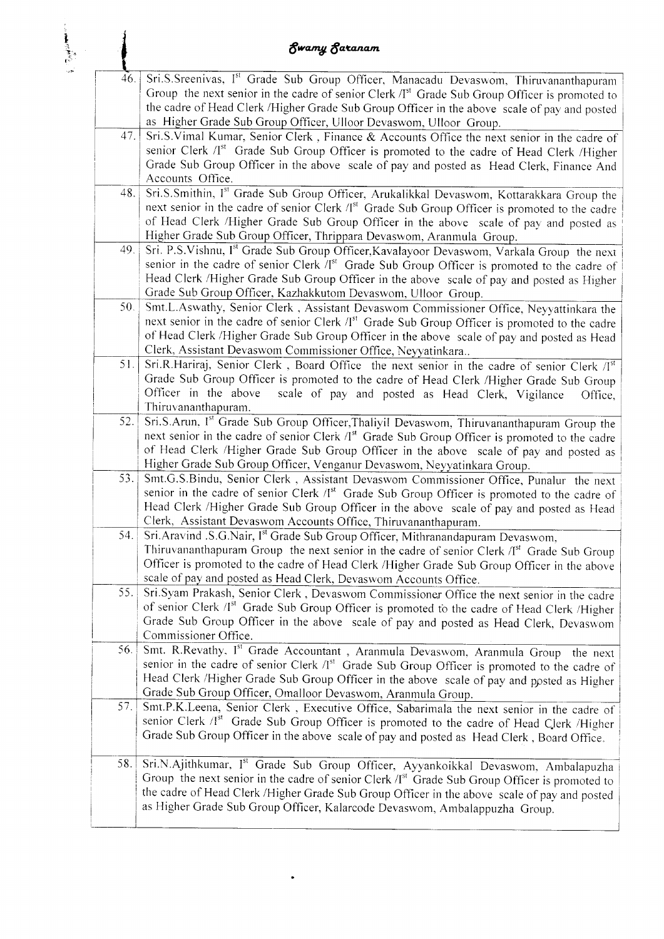|     | <b>Swamy Saranam</b>                                                                                                                                                                                                                                                                                                                                                          |
|-----|-------------------------------------------------------------------------------------------------------------------------------------------------------------------------------------------------------------------------------------------------------------------------------------------------------------------------------------------------------------------------------|
| 46. | Sri.S.Sreenivas, Ist Grade Sub Group Officer, Manacadu Devaswom, Thiruvananthapuram<br>Group the next senior in the cadre of senior Clerk $/Ist$ Grade Sub Group Officer is promoted to<br>the cadre of Head Clerk /Higher Grade Sub Group Officer in the above scale of pay and posted<br>as Higher Grade Sub Group Officer, Ulloor Devaswom, Ulloor Group.                  |
| 47. | Sri.S.Vimal Kumar, Senior Clerk, Finance & Accounts Office the next senior in the cadre of<br>senior Clerk /I <sup>st</sup> Grade Sub Group Officer is promoted to the cadre of Head Clerk /Higher<br>Grade Sub Group Officer in the above scale of pay and posted as Head Clerk, Finance And<br>Accounts Office.                                                             |
| 48. | Sri.S.Smithin, Ist Grade Sub Group Officer, Arukalikkal Devaswom, Kottarakkara Group the<br>next senior in the cadre of senior Clerk /I <sup>st</sup> Grade Sub Group Officer is promoted to the cadre<br>of Head Clerk /Higher Grade Sub Group Officer in the above scale of pay and posted as<br>Higher Grade Sub Group Officer, Thrippara Devaswom, Aranmula Group.        |
| 49. | Sri. P.S.Vishnu, Ist Grade Sub Group Officer, Kavalayoor Devaswom, Varkala Group the next<br>senior in the cadre of senior Clerk /Ist Grade Sub Group Officer is promoted to the cadre of<br>Head Clerk /Higher Grade Sub Group Officer in the above scale of pay and posted as Higher<br>Grade Sub Group Officer, Kazhakkutom Devaswom, Ulloor Group.                        |
| 50. | Smt.L.Aswathy, Senior Clerk, Assistant Devaswom Commissioner Office, Neyyattinkara the<br>next senior in the cadre of senior Clerk /I <sup>st</sup> Grade Sub Group Officer is promoted to the cadre<br>of Head Clerk /Higher Grade Sub Group Officer in the above scale of pay and posted as Head<br>Clerk, Assistant Devaswom Commissioner Office, Neyyatinkara             |
| 51. | Sri.R.Hariraj, Senior Clerk, Board Office the next senior in the cadre of senior Clerk /Ist<br>Grade Sub Group Officer is promoted to the cadre of Head Clerk /Higher Grade Sub Group<br>Officer in the above<br>scale of pay and posted as Head Clerk, Vigilance<br>Office,<br>Thiruvananthapuram.                                                                           |
| 52. | Sri.S.Arun, Ist Grade Sub Group Officer, Thaliyil Devaswom, Thiruvananthapuram Group the<br>next senior in the cadre of senior Clerk /I <sup>st</sup> Grade Sub Group Officer is promoted to the cadre<br>of Head Clerk /Higher Grade Sub Group Officer in the above scale of pay and posted as<br>Higher Grade Sub Group Officer, Venganur Devaswom, Neyyatinkara Group.     |
| 53. | Smt.G.S.Bindu, Senior Clerk, Assistant Devaswom Commissioner Office, Punalur the next<br>senior in the cadre of senior Clerk /Ist Grade Sub Group Officer is promoted to the cadre of<br>Head Clerk /Higher Grade Sub Group Officer in the above scale of pay and posted as Head<br>Clerk, Assistant Devaswom Accounts Office, Thiruvananthapuram.                            |
| 54. | Sri.Aravind .S.G.Nair, I <sup>st</sup> Grade Sub Group Officer, Mithranandapuram Devaswom,<br>Thiruvananthapuram Group the next senior in the cadre of senior Clerk /I <sup>st</sup> Grade Sub Group<br>Officer is promoted to the cadre of Head Clerk /Higher Grade Sub Group Officer in the above<br>scale of pay and posted as Head Clerk, Devaswom Accounts Office.       |
| 55. | Sri.Syam Prakash, Senior Clerk, Devaswom Commissioner Office the next senior in the cadre<br>of senior Clerk /Ist Grade Sub Group Officer is promoted to the cadre of Head Clerk /Higher<br>Grade Sub Group Officer in the above scale of pay and posted as Head Clerk, Devaswom<br>Commissioner Office.                                                                      |
| 56. | Smt. R.Revathy, Ist Grade Accountant, Aranmula Devaswom, Aranmula Group the next<br>senior in the cadre of senior Clerk /Ist Grade Sub Group Officer is promoted to the cadre of<br>Head Clerk /Higher Grade Sub Group Officer in the above scale of pay and posted as Higher<br>Grade Sub Group Officer, Omalloor Devaswom, Aranmula Group.                                  |
| 57. | Smt.P.K.Leena, Senior Clerk, Executive Office, Sabarimala the next senior in the cadre of<br>senior Clerk /I <sup>st</sup> Grade Sub Group Officer is promoted to the cadre of Head Clerk /Higher<br>Grade Sub Group Officer in the above scale of pay and posted as Head Clerk, Board Office.                                                                                |
| 58. | Sri.N.Ajithkumar, Ist Grade Sub Group Officer, Ayyankoikkal Devaswom, Ambalapuzha<br>Group the next senior in the cadre of senior Clerk /I <sup>st</sup> Grade Sub Group Officer is promoted to<br>the cadre of Head Clerk /Higher Grade Sub Group Officer in the above scale of pay and posted<br>as Higher Grade Sub Group Officer, Kalarcode Devaswom, Ambalappuzha Group. |

 $\ddot{\phantom{0}}$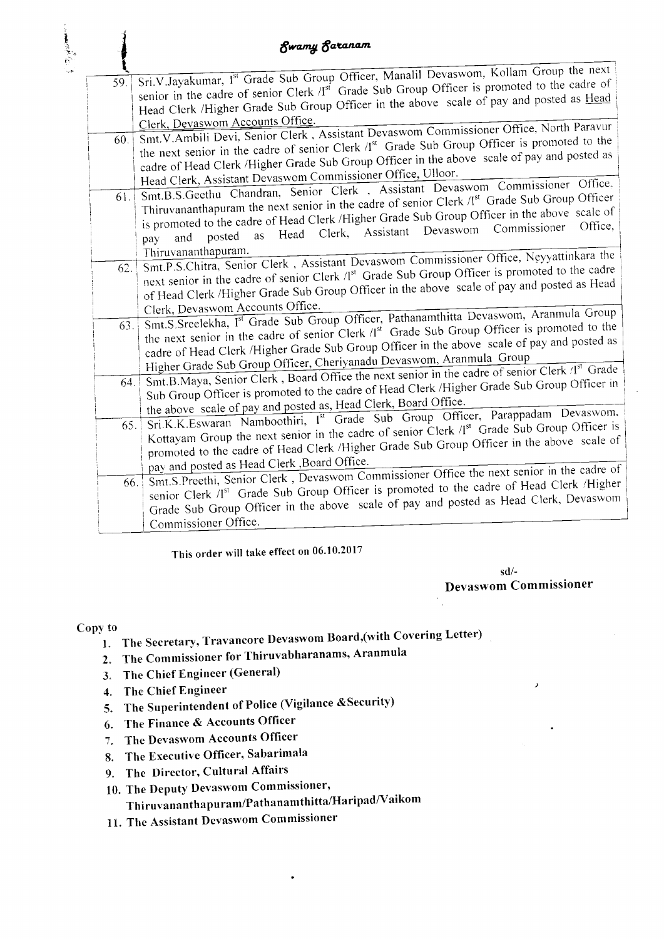|     | Swamy Saranam                                                                                                                                                                                       |
|-----|-----------------------------------------------------------------------------------------------------------------------------------------------------------------------------------------------------|
|     |                                                                                                                                                                                                     |
| 59. | Sri.V.Jayakumar, Ist Grade Sub Group Officer, Manalil Devaswom, Kollam Group the next                                                                                                               |
|     | senior in the cadre of senior Clerk /I <sup>st</sup> Grade Sub Group Officer is promoted to the cadre of<br>Head Clerk /Higher Grade Sub Group Officer in the above scale of pay and posted as Head |
|     |                                                                                                                                                                                                     |
|     | Clerk, Devaswom Accounts Office.<br>Smt.V.Ambili Devi, Senior Clerk, Assistant Devaswom Commissioner Office, North Paravur                                                                          |
| 60. | the next senior in the cadre of senior Clerk /I <sup>st</sup> Grade Sub Group Officer is promoted to the                                                                                            |
|     | cadre of Head Clerk /Higher Grade Sub Group Officer in the above scale of pay and posted as                                                                                                         |
|     | Head Clerk, Assistant Devaswom Commissioner Office, Ulloor.                                                                                                                                         |
|     | Smt.B.S.Geethu Chandran, Senior Clerk, Assistant Devaswom Commissioner Office.                                                                                                                      |
| 61. | Thiruvananthapuram the next senior in the cadre of senior Clerk /I <sup>st</sup> Grade Sub Group Officer                                                                                            |
|     | is promoted to the cadre of Head Clerk /Higher Grade Sub Group Officer in the above scale of                                                                                                        |
|     | as Head Clerk, Assistant Devaswom Commissioner<br>posted<br>and<br>pay                                                                                                                              |
|     | Thiruvananthapuram.                                                                                                                                                                                 |
| 62. | Smt.P.S.Chitra, Senior Clerk, Assistant Devaswom Commissioner Office, Neyyattinkara the                                                                                                             |
|     | next senior in the cadre of senior Clerk /I <sup>st</sup> Grade Sub Group Officer is promoted to the cadre                                                                                          |
|     | of Head Clerk /Higher Grade Sub Group Officer in the above scale of pay and posted as Head                                                                                                          |
|     | Clerk, Devaswom Accounts Office.                                                                                                                                                                    |
| 63. | Smt.S.Sreelekha, Ist Grade Sub Group Officer, Pathanamthitta Devaswom, Aranmula Group<br>the next senior in the cadre of senior Clerk /I <sup>st</sup> Grade Sub Group Officer is promoted to the   |
|     | cadre of Head Clerk /Higher Grade Sub Group Officer in the above scale of pay and posted as                                                                                                         |
|     | Higher Grade Sub Group Officer, Cheriyanadu Devaswom, Aranmula Group                                                                                                                                |
|     | Smt.B.Maya, Senior Clerk, Board Office the next senior in the cadre of senior Clerk /I <sup>st</sup> Grade                                                                                          |
| 64. | Sub Group Officer is promoted to the cadre of Head Clerk /Higher Grade Sub Group Officer in                                                                                                         |
|     | the above scale of pay and posted as, Head Clerk, Board Office.                                                                                                                                     |
| 65. | Sri.K.K.Eswaran Namboothiri, Ist Grade Sub Group Officer, Parappadam Devaswom,                                                                                                                      |
|     | Kottayam Group the next senior in the cadre of senior Clerk /I <sup>st</sup> Grade Sub Group Officer is                                                                                             |
|     | promoted to the cadre of Head Clerk /Higher Grade Sub Group Officer in the above scale of                                                                                                           |
|     | pay and posted as Head Clerk , Board Office.                                                                                                                                                        |
| 66. | Smt.S.Preethi, Senior Clerk, Devaswom Commissioner Office the next senior in the cadre of                                                                                                           |
|     | senior Clerk /I <sup>st</sup> Grade Sub Group Officer is promoted to the cadre of Head Clerk /Higher                                                                                                |
|     | Grade Sub Group Officer in the above scale of pay and posted as Head Clerk, Devaswom                                                                                                                |
|     | Commissioner Office.                                                                                                                                                                                |

This order will take effect on 06.10.2017

 $sd/-$ **Devaswom Commissioner** 

### Copy to

- 1. The Secretary, Travancore Devaswom Board, (with Covering Letter)
- 2. The Commissioner for Thiruvabharanams, Aranmula
- 3. The Chief Engineer (General)
- 4. The Chief Engineer
- 5. The Superintendent of Police (Vigilance & Security)
- 6. The Finance & Accounts Officer
- 7. The Devaswom Accounts Officer
- 8. The Executive Officer, Sabarimala
- 9. The Director, Cultural Affairs
- 10. The Deputy Devaswom Commissioner,
	- Thiruvananthapuram/Pathanamthitta/Haripad/Vaikom
- 11. The Assistant Devaswom Commissioner